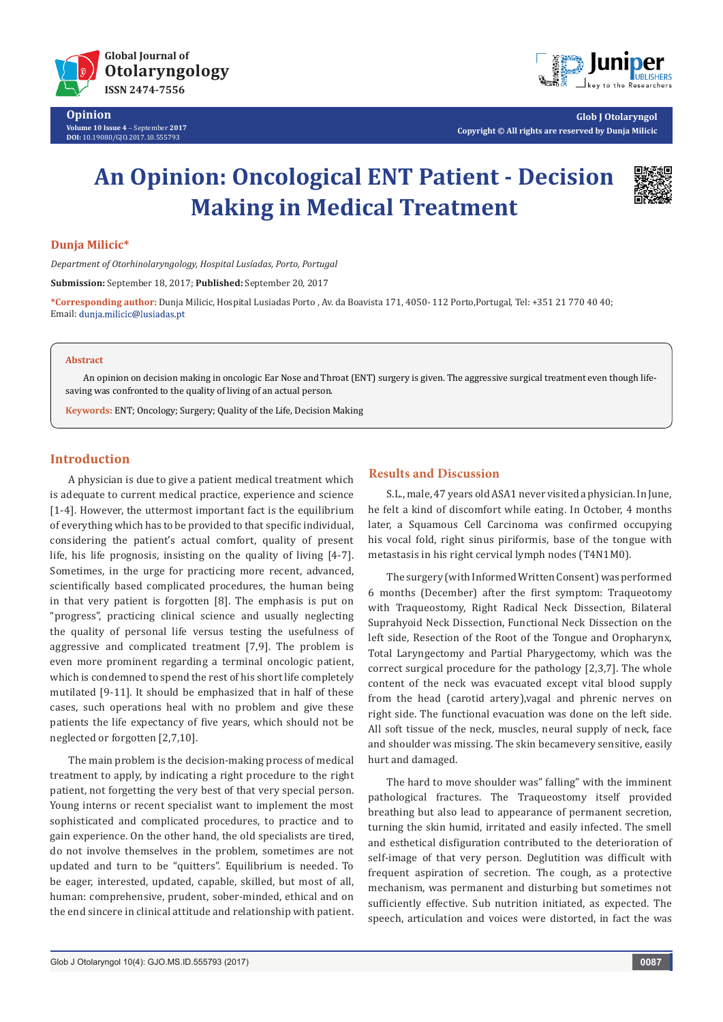



**Glob J Otolaryngol Copyright © All rights are reserved by Dunja Milicic**

# **An Opinion: Oncological ENT Patient - Decision Making in Medical Treatment**



## **Dunja Milicic\***

*Department of Otorhinolaryngology, Hospital Lusíadas, Porto, Portugal*

**Submission:** September 18, 2017; **Published:** September 20, 2017

**\*Corresponding author:** Dunja Milicic, Hospital Lusiadas Porto , Av. da Boavista 171, 4050- 112 Porto,Portugal, Tel: +351 21 770 40 40; Email: dunja.milicic@lusiadas.pt

#### **Abstract**

An opinion on decision making in oncologic Ear Nose and Throat (ENT) surgery is given. The aggressive surgical treatment even though lifesaving was confronted to the quality of living of an actual person.

**Keywords:** ENT; Oncology; Surgery; Quality of the Life, Decision Making

## **Introduction**

A physician is due to give a patient medical treatment which is adequate to current medical practice, experience and science [1-4]. However, the uttermost important fact is the equilibrium of everything which has to be provided to that specific individual, considering the patient's actual comfort, quality of present life, his life prognosis, insisting on the quality of living [4-7]. Sometimes, in the urge for practicing more recent, advanced, scientifically based complicated procedures, the human being in that very patient is forgotten [8]. The emphasis is put on "progress", practicing clinical science and usually neglecting the quality of personal life versus testing the usefulness of aggressive and complicated treatment [7,9]. The problem is even more prominent regarding a terminal oncologic patient, which is condemned to spend the rest of his short life completely mutilated [9-11]. It should be emphasized that in half of these cases, such operations heal with no problem and give these patients the life expectancy of five years, which should not be neglected or forgotten [2,7,10].

The main problem is the decision-making process of medical treatment to apply, by indicating a right procedure to the right patient, not forgetting the very best of that very special person. Young interns or recent specialist want to implement the most sophisticated and complicated procedures, to practice and to gain experience. On the other hand, the old specialists are tired, do not involve themselves in the problem, sometimes are not updated and turn to be "quitters". Equilibrium is needed. To be eager, interested, updated, capable, skilled, but most of all, human: comprehensive, prudent, sober-minded, ethical and on the end sincere in clinical attitude and relationship with patient.

## **Results and Discussion**

S.L., male, 47 years old ASA1 never visited a physician. In June, he felt a kind of discomfort while eating. In October, 4 months later, a Squamous Cell Carcinoma was confirmed occupying his vocal fold, right sinus piriformis, base of the tongue with metastasis in his right cervical lymph nodes (T4N1M0).

The surgery (with Informed Written Consent) was performed 6 months (December) after the first symptom: Traqueotomy with Traqueostomy, Right Radical Neck Dissection, Bilateral Suprahyoid Neck Dissection, Functional Neck Dissection on the left side, Resection of the Root of the Tongue and Oropharynx, Total Laryngectomy and Partial Pharygectomy, which was the correct surgical procedure for the pathology [2,3,7]. The whole content of the neck was evacuated except vital blood supply from the head (carotid artery),vagal and phrenic nerves on right side. The functional evacuation was done on the left side. All soft tissue of the neck, muscles, neural supply of neck, face and shoulder was missing. The skin becamevery sensitive, easily hurt and damaged.

The hard to move shoulder was" falling" with the imminent pathological fractures. The Traqueostomy itself provided breathing but also lead to appearance of permanent secretion, turning the skin humid, irritated and easily infected. The smell and esthetical disfiguration contributed to the deterioration of self-image of that very person. Deglutition was difficult with frequent aspiration of secretion. The cough, as a protective mechanism, was permanent and disturbing but sometimes not sufficiently effective. Sub nutrition initiated, as expected. The speech, articulation and voices were distorted, in fact the was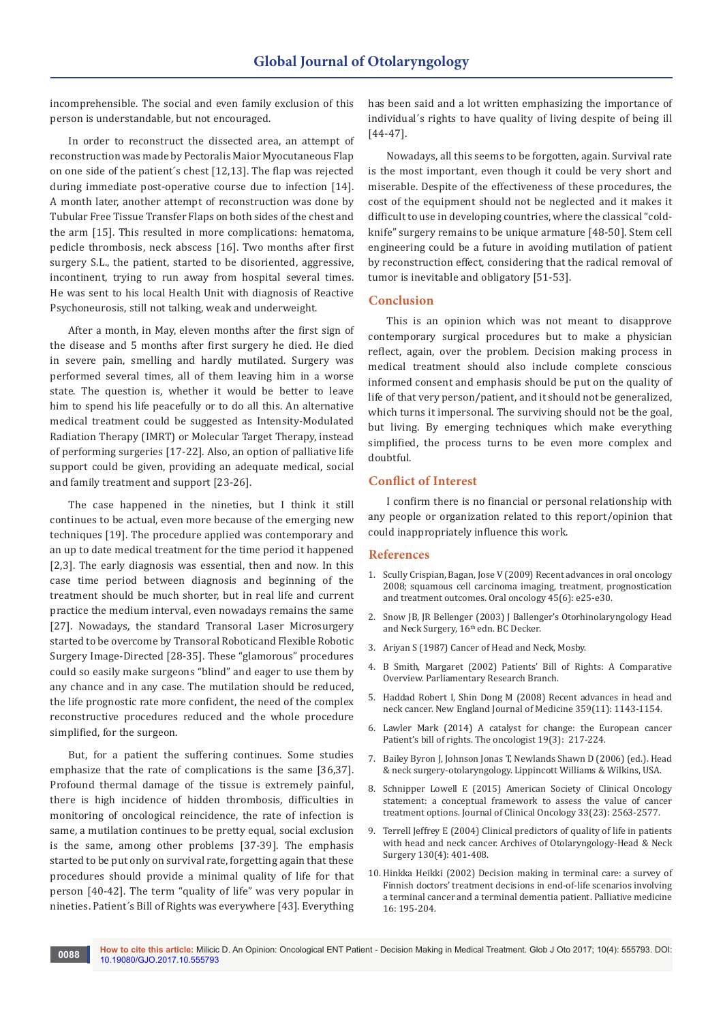incomprehensible. The social and even family exclusion of this person is understandable, but not encouraged.

In order to reconstruct the dissected area, an attempt of reconstruction was made by Pectoralis Maior Myocutaneous Flap on one side of the patient´s chest [12,13]. The flap was rejected during immediate post-operative course due to infection [14]. A month later, another attempt of reconstruction was done by Tubular Free Tissue Transfer Flaps on both sides of the chest and the arm [15]. This resulted in more complications: hematoma, pedicle thrombosis, neck abscess [16]. Two months after first surgery S.L., the patient, started to be disoriented, aggressive, incontinent, trying to run away from hospital several times. He was sent to his local Health Unit with diagnosis of Reactive Psychoneurosis, still not talking, weak and underweight.

After a month, in May, eleven months after the first sign of the disease and 5 months after first surgery he died. He died in severe pain, smelling and hardly mutilated. Surgery was performed several times, all of them leaving him in a worse state. The question is, whether it would be better to leave him to spend his life peacefully or to do all this. An alternative medical treatment could be suggested as Intensity-Modulated Radiation Therapy (IMRT) or Molecular Target Therapy, instead of performing surgeries [17-22]. Also, an option of palliative life support could be given, providing an adequate medical, social and family treatment and support [23-26].

The case happened in the nineties, but I think it still continues to be actual, even more because of the emerging new techniques [19]. The procedure applied was contemporary and an up to date medical treatment for the time period it happened [2,3]. The early diagnosis was essential, then and now. In this case time period between diagnosis and beginning of the treatment should be much shorter, but in real life and current practice the medium interval, even nowadays remains the same [27]. Nowadays, the standard Transoral Laser Microsurgery started to be overcome by Transoral Roboticand Flexible Robotic Surgery Image-Directed [28-35]. These "glamorous" procedures could so easily make surgeons "blind" and eager to use them by any chance and in any case. The mutilation should be reduced, the life prognostic rate more confident, the need of the complex reconstructive procedures reduced and the whole procedure simplified, for the surgeon.

But, for a patient the suffering continues. Some studies emphasize that the rate of complications is the same [36,37]. Profound thermal damage of the tissue is extremely painful, there is high incidence of hidden thrombosis, difficulties in monitoring of oncological reincidence, the rate of infection is same, a mutilation continues to be pretty equal, social exclusion is the same, among other problems [37-39]. The emphasis started to be put only on survival rate, forgetting again that these procedures should provide a minimal quality of life for that person [40-42]. The term "quality of life" was very popular in nineties. Patient´s Bill of Rights was everywhere [43]. Everything

has been said and a lot written emphasizing the importance of individual´s rights to have quality of living despite of being ill [44-47].

Nowadays, all this seems to be forgotten, again. Survival rate is the most important, even though it could be very short and miserable. Despite of the effectiveness of these procedures, the cost of the equipment should not be neglected and it makes it difficult to use in developing countries, where the classical "coldknife" surgery remains to be unique armature [48-50]. Stem cell engineering could be a future in avoiding mutilation of patient by reconstruction effect, considering that the radical removal of tumor is inevitable and obligatory [51-53].

#### **Conclusion**

This is an opinion which was not meant to disapprove contemporary surgical procedures but to make a physician reflect, again, over the problem. Decision making process in medical treatment should also include complete conscious informed consent and emphasis should be put on the quality of life of that very person/patient, and it should not be generalized, which turns it impersonal. The surviving should not be the goal, but living. By emerging techniques which make everything simplified, the process turns to be even more complex and doubtful.

### **Conflict of Interest**

I confirm there is no financial or personal relationship with any people or organization related to this report/opinion that could inappropriately influence this work.

### **References**

- 1. [Scully Crispian, Bagan, Jose V \(2009\) Recent advances in oral oncology](https://www.ncbi.nlm.nih.gov/pubmed/19249236)  [2008; squamous cell carcinoma imaging, treatment, prognostication](https://www.ncbi.nlm.nih.gov/pubmed/19249236)  and treatment outcomes. [Oral oncology 45\(6\): e25-e30.](https://www.ncbi.nlm.nih.gov/pubmed/19249236)
- 2. Snow JB, JR Bellenger (2003) J Ballenger's Otorhinolaryngology Head and Neck Surgery, 16<sup>th</sup> edn. BC Decker.
- 3. Ariyan S (1987) Cancer of Head and Neck, Mosby.
- 4. B Smith, Margaret (2002) [Patients' Bill of Rights: A Comparative](http://publications.gc.ca/Collection-R/LoPBdP/BP/prb0131-e.htm)  [Overview. Parliamentary Research Branch.](http://publications.gc.ca/Collection-R/LoPBdP/BP/prb0131-e.htm)
- 5. [Haddad Robert I, Shin Dong M \(2008\) Recent advances in head and](http://www.nejm.org/doi/full/10.1056/NEJMra0707975)  neck cancer. [New England Journal of Medicine 359\(11\): 1143-1154.](http://www.nejm.org/doi/full/10.1056/NEJMra0707975)
- 6. [Lawler Mark \(2014\) A catalyst for change: the European cancer](https://www.ncbi.nlm.nih.gov/pubmed/24493667)  Patient's bill of rights. [The oncologist 19\(3\): 217-224.](https://www.ncbi.nlm.nih.gov/pubmed/24493667)
- 7. Bailey Byron J, Johnson Jonas T, Newlands Shawn D (2006) (ed.). Head & neck surgery-otolaryngology. Lippincott Williams & Wilkins, USA.
- 8. [Schnipper Lowell E \(2015\) American Society of Clinical Oncology](https://www.ncbi.nlm.nih.gov/pubmed/26101248)  [statement: a conceptual framework to assess the value of cancer](https://www.ncbi.nlm.nih.gov/pubmed/26101248)  treatment options. [Journal of Clinical Oncology 33\(23\): 2563-2577.](https://www.ncbi.nlm.nih.gov/pubmed/26101248)
- 9. [Terrell Jeffrey E \(2004\) Clinical predictors of quality of life in patients](https://www.ncbi.nlm.nih.gov/pubmed/15096421)  with head and neck cancer. [Archives of Otolaryngology-Head & Neck](https://www.ncbi.nlm.nih.gov/pubmed/15096421)  [Surgery 130\(4\): 401-408.](https://www.ncbi.nlm.nih.gov/pubmed/15096421)
- 10. [Hinkka Heikki \(2002\) Decision making in terminal care: a survey of](https://www.ncbi.nlm.nih.gov/pubmed/12046995)  [Finnish doctors' treatment decisions in end-of-life scenarios involving](https://www.ncbi.nlm.nih.gov/pubmed/12046995)  [a terminal cancer and a terminal dementia patient.](https://www.ncbi.nlm.nih.gov/pubmed/12046995) Palliative medicine [16: 195-204.](https://www.ncbi.nlm.nih.gov/pubmed/12046995)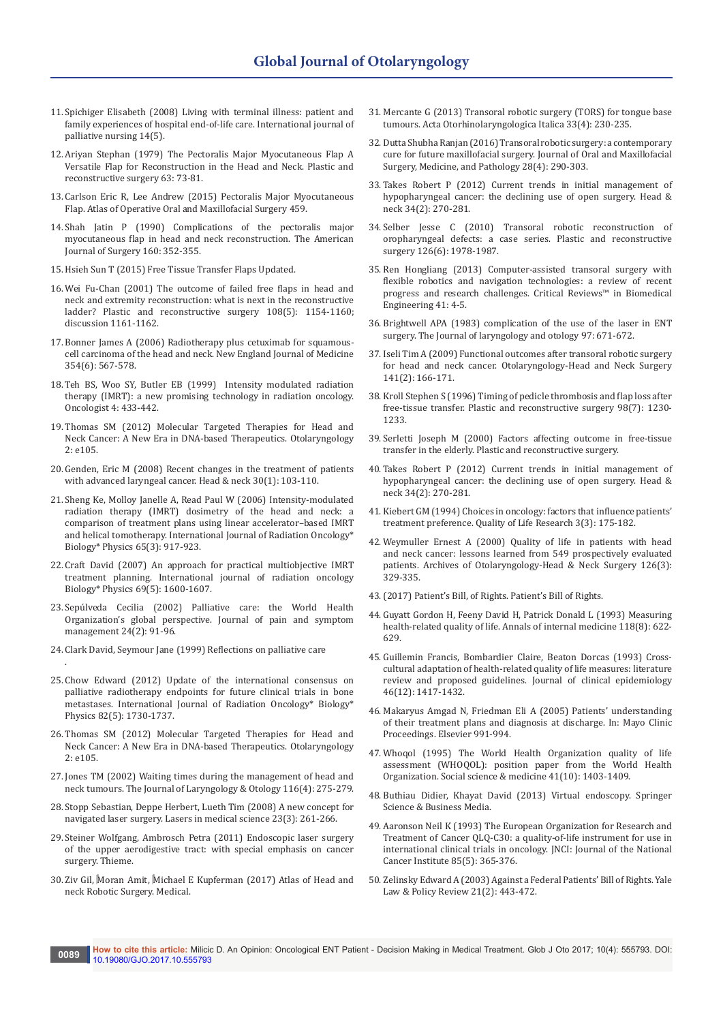- 11. [Spichiger Elisabeth \(2008\) Living with terminal illness: patient and](https://www.ncbi.nlm.nih.gov/pubmed/18563015)  [family experiences of hospital end-of-life care.](https://www.ncbi.nlm.nih.gov/pubmed/18563015) International journal of [palliative nursing 14\(5\).](https://www.ncbi.nlm.nih.gov/pubmed/18563015)
- 12. [Ariyan Stephan \(1979\) The Pectoralis Major Myocutaneous Flap A](https://www.ncbi.nlm.nih.gov/pubmed/372988)  [Versatile Flap for Reconstruction in the Head and Neck.](https://www.ncbi.nlm.nih.gov/pubmed/372988) Plastic and [reconstructive surgery 63: 73-81.](https://www.ncbi.nlm.nih.gov/pubmed/372988)
- 13. [Carlson Eric R, Lee Andrew \(2015\) Pectoralis Major Myocutaneous](https://www.ncbi.nlm.nih.gov/pmc/articles/PMC4668731/)  Flap. [Atlas of Operative Oral and Maxillofacial Surgery 459.](https://www.ncbi.nlm.nih.gov/pmc/articles/PMC4668731/)
- 14. [Shah Jatin P \(1990\) Complications of the pectoralis major](https://www.ncbi.nlm.nih.gov/pubmed/2221234)  [myocutaneous flap in head and neck reconstruction.](https://www.ncbi.nlm.nih.gov/pubmed/2221234) The American [Journal of Surgery 160: 352-355.](https://www.ncbi.nlm.nih.gov/pubmed/2221234)
- 15. [Hsieh Sun T \(2015\) Free Tissue Transfer Flaps Updated.](http://emedicine.medscape.com/article/1284841-overview)
- 16. [Wei Fu-Chan \(2001\) The outcome of failed free flaps in head and](https://www.ncbi.nlm.nih.gov/pubmed/11604611)  [neck and extremity reconstruction: what is next in the reconstructive](https://www.ncbi.nlm.nih.gov/pubmed/11604611)  ladder? [Plastic and reconstructive surgery 108\(5\): 1154-1160;](https://www.ncbi.nlm.nih.gov/pubmed/11604611)  [discussion 1161-1162.](https://www.ncbi.nlm.nih.gov/pubmed/11604611)
- 17. [Bonner James A \(2006\) Radiotherapy plus cetuximab for squamous](https://www.ncbi.nlm.nih.gov/pubmed/16467544)[cell carcinoma of the head and neck.](https://www.ncbi.nlm.nih.gov/pubmed/16467544) New England Journal of Medicine [354\(6\): 567-578.](https://www.ncbi.nlm.nih.gov/pubmed/16467544)
- 18. [Teh BS, Woo SY, Butler EB \(1999\) Intensity modulated radiation](https://www.ncbi.nlm.nih.gov/pubmed/10631687)  therapy [\(IMRT\): a new promising technology in radiation oncology.](https://www.ncbi.nlm.nih.gov/pubmed/10631687)  [Oncologist 4: 433-442.](https://www.ncbi.nlm.nih.gov/pubmed/10631687)
- 19. [Thomas SM \(2012\) Molecular Targeted Therapies for](https://www.omicsonline.org/molecular-targeted-therapies-for-head-and-neck-cancer-a-new-era-in-dna-based-therapeutics-2161-119X.1000e105.php?aid=8208) Head and Neck [Cancer: A New Era in DNA-based Therapeutics.](https://www.omicsonline.org/molecular-targeted-therapies-for-head-and-neck-cancer-a-new-era-in-dna-based-therapeutics-2161-119X.1000e105.php?aid=8208) Otolaryngology  $2: 0.65$ .
- 20. [Genden, Eric M \(2008\) Recent changes in the treatment of patients](https://www.ncbi.nlm.nih.gov/pubmed/17902151)  [with advanced laryngeal cancer.](https://www.ncbi.nlm.nih.gov/pubmed/17902151) Head & neck 30(1): 103-110.
- 21. [Sheng Ke, Molloy Janelle A, Read Paul W \(2006\) Intensity-modulated](https://www.ncbi.nlm.nih.gov/pubmed/16751074)  [radiation therapy \(IMRT\) dosimetry of the head and neck: a](https://www.ncbi.nlm.nih.gov/pubmed/16751074)  [comparison of treatment plans using linear accelerator–based IMRT](https://www.ncbi.nlm.nih.gov/pubmed/16751074)  and helical tomotherapy. [International Journal of Radiation Oncology\\*](https://www.ncbi.nlm.nih.gov/pubmed/16751074)  [Biology\\* Physics 65\(3\): 917-923.](https://www.ncbi.nlm.nih.gov/pubmed/16751074)
- 22. [Craft David \(2007\) An approach for practical multiobjective IMRT](https://www.ncbi.nlm.nih.gov/pubmed/17920782)  treatment planning. [International journal of radiation oncology](https://www.ncbi.nlm.nih.gov/pubmed/17920782)  [Biology\\* Physics 69\(5\): 1600-1607.](https://www.ncbi.nlm.nih.gov/pubmed/17920782)
- 23. [Sepúlveda Cecilia \(2002\) Palliative care: the World Health](https://www.ncbi.nlm.nih.gov/pubmed/12231124)  [Organization's global perspective.](https://www.ncbi.nlm.nih.gov/pubmed/12231124) Journal of pain and symptom [management 24\(2\): 91-96.](https://www.ncbi.nlm.nih.gov/pubmed/12231124)
- 24. Clark David, Seymour Jane (1999) Reflections on palliative care

.

- 25. [Chow Edward \(2012\) Update of the international consensus on](https://www.ncbi.nlm.nih.gov/pubmed/12242115)  [palliative radiotherapy endpoints for future clinical trials in bone](https://www.ncbi.nlm.nih.gov/pubmed/12242115)  metastases. [International Journal of Radiation Oncology\\* Biology\\*](https://www.ncbi.nlm.nih.gov/pubmed/12242115)  [Physics 82\(5\): 1730-1737.](https://www.ncbi.nlm.nih.gov/pubmed/12242115)
- 26. [Thomas SM \(2012\) Molecular Targeted Therapies for](https://www.ncbi.nlm.nih.gov/pmc/articles/PMC3707609/) Head and Neck [Cancer: A New Era in DNA-based Therapeutics.](https://www.ncbi.nlm.nih.gov/pmc/articles/PMC3707609/) Otolaryngology  $2: e105.$
- 27. [Jones TM \(2002\) Waiting times during the management of head and](https://www.ncbi.nlm.nih.gov/pubmed/11945188)  neck tumours. [The Journal of Laryngology & Otology 116\(4\): 275-279.](https://www.ncbi.nlm.nih.gov/pubmed/11945188)
- 28. [Stopp Sebastian, Deppe Herbert, Lueth Tim \(2008\) A new concept for](https://www.ncbi.nlm.nih.gov/pubmed/17661124)  navigated laser surgery. [Lasers in medical science 23\(3\): 261-266.](https://www.ncbi.nlm.nih.gov/pubmed/17661124)
- 29. Steiner Wolfgang, Ambrosch Petra (2011) Endoscopic laser surgery of the upper aerodigestive tract: with special emphasis on cancer surgery. Thieme.
- 30. [Ziv Gil, Moran Amit, Michael E Kupferman \(2017\) Atlas of Head and](http://www.springer.com/in/book/9783319495767)  [neck Robotic Surgery. Medical.](http://www.springer.com/in/book/9783319495767)
- 31. [Mercante G \(2013\) Transoral robotic surgery \(TORS\) for tongue base](https://www.ncbi.nlm.nih.gov/pmc/articles/PMC3773960/)  tumours. [Acta Otorhinolaryngologica Italica 33\(4\): 230-235.](https://www.ncbi.nlm.nih.gov/pmc/articles/PMC3773960/)
- 32. [Dutta Shubha Ranjan \(2016\) Transoral robotic surgery: a contemporary](http://www.sciencedirect.com/science/article/pii/S2212555816000466)  [cure for future maxillofacial surgery.](http://www.sciencedirect.com/science/article/pii/S2212555816000466) Journal of Oral and Maxillofacial [Surgery, Medicine, and Pathology 28\(4\): 290-303.](http://www.sciencedirect.com/science/article/pii/S2212555816000466)
- 33. [Takes Robert P \(2012\) Current trends in initial management of](https://www.ncbi.nlm.nih.gov/pubmed/22228621)  [hypopharyngeal cancer: the declining use of open surgery.](https://www.ncbi.nlm.nih.gov/pubmed/22228621) Head & [neck 34\(2\): 270-281.](https://www.ncbi.nlm.nih.gov/pubmed/22228621)
- 34. [Selber Jesse C \(2010\) Transoral robotic reconstruction of](https://www.ncbi.nlm.nih.gov/pubmed/21124136)  [oropharyngeal defects: a case series.](https://www.ncbi.nlm.nih.gov/pubmed/21124136) Plastic and reconstructive [surgery 126\(6\): 1978-1987.](https://www.ncbi.nlm.nih.gov/pubmed/21124136)
- 35. [Ren Hongliang \(2013\) Computer-assisted transoral surgery with](https://www.ncbi.nlm.nih.gov/pubmed/24941414)  [flexible robotics and navigation technologies: a review of recent](https://www.ncbi.nlm.nih.gov/pubmed/24941414)  [progress and research challenges.](https://www.ncbi.nlm.nih.gov/pubmed/24941414) Critical Reviews™ in Biomedical [Engineering 41: 4-5.](https://www.ncbi.nlm.nih.gov/pubmed/24941414)
- 36. [Brightwell APA \(1983\) complication of the use of the laser in ENT](https://www.ncbi.nlm.nih.gov/pubmed/6875370)  surgery. [The Journal of laryngology and otology 97: 671-672.](https://www.ncbi.nlm.nih.gov/pubmed/6875370)
- 37. [Iseli Tim A \(2009\) Functional outcomes after transoral robotic surgery](https://www.ncbi.nlm.nih.gov/pubmed/19643246)  for head and neck cancer. [Otolaryngology-Head and Neck Surgery](https://www.ncbi.nlm.nih.gov/pubmed/19643246)  [141\(2\): 166-171.](https://www.ncbi.nlm.nih.gov/pubmed/19643246)
- 38. [Kroll Stephen S \(1996\) Timing of pedicle thrombosis and flap loss after](https://www.ncbi.nlm.nih.gov/pubmed/8942909)  free-tissue transfer. [Plastic and reconstructive surgery 98\(7\): 1230-](https://www.ncbi.nlm.nih.gov/pubmed/8942909) [1233.](https://www.ncbi.nlm.nih.gov/pubmed/8942909)
- 39. [Serletti Joseph M \(2000\) Factors affecting outcome in free-tissue](https://www.ncbi.nlm.nih.gov/pubmed/10883613)  transfer in the elderly. [Plastic and reconstructive surgery.](https://www.ncbi.nlm.nih.gov/pubmed/10883613)
- 40. [Takes Robert P \(2012\) Current trends in initial management of](https://www.ncbi.nlm.nih.gov/pubmed/22228621)  [hypopharyngeal cancer: the declining use of open surgery.](https://www.ncbi.nlm.nih.gov/pubmed/22228621) Head & [neck 34\(2\): 270-281.](https://www.ncbi.nlm.nih.gov/pubmed/22228621)
- 41. [Kiebert GM \(1994\) Choices in oncology: factors that influence patients'](https://www.ncbi.nlm.nih.gov/pubmed/7920491)  treatment preference. [Quality of Life Research 3\(3\): 175-182.](https://www.ncbi.nlm.nih.gov/pubmed/7920491)
- 42. [Weymuller Ernest A \(2000\) Quality of life in patients with head](https://www.ncbi.nlm.nih.gov/pubmed/10722005)  [and neck cancer: lessons learned from 549 prospectively evaluated](https://www.ncbi.nlm.nih.gov/pubmed/10722005)  patients. [Archives of Otolaryngology-Head & Neck Surgery 126\(3\):](https://www.ncbi.nlm.nih.gov/pubmed/10722005)  [329-335.](https://www.ncbi.nlm.nih.gov/pubmed/10722005)
- 43.(2017) Patient's Bill, of Rights. Patient's Bill of Rights.
- 44. [Guyatt Gordon H, Feeny David H, Patrick Donald L \(1993\) Measuring](https://www.ncbi.nlm.nih.gov/pubmed/8452328)  health-related quality of life. [Annals of internal medicine 118\(8\): 622-](https://www.ncbi.nlm.nih.gov/pubmed/8452328) [629.](https://www.ncbi.nlm.nih.gov/pubmed/8452328)
- 45. [Guillemin Francis, Bombardier Claire, Beaton Dorcas \(1993\) Cross](https://www.ncbi.nlm.nih.gov/pubmed/8263569)[cultural adaptation of health-related quality of life measures: literature](https://www.ncbi.nlm.nih.gov/pubmed/8263569)  [review and proposed guidelines.](https://www.ncbi.nlm.nih.gov/pubmed/8263569) Journal of clinical epidemiology [46\(12\): 1417-1432.](https://www.ncbi.nlm.nih.gov/pubmed/8263569)
- 46. [Makaryus Amgad N, Friedman Eli A \(2005\) Patients' understanding](https://www.mayoclinicproceedings.org/article/S0025-6196(11)61579-6/abstract)  [of their treatment plans and diagnosis at discharge. In:](https://www.mayoclinicproceedings.org/article/S0025-6196(11)61579-6/abstract) Mayo Clinic [Proceedings. Elsevier 991-994.](https://www.mayoclinicproceedings.org/article/S0025-6196(11)61579-6/abstract)
- 47. [Whoqol \(1995\) The World Health Organization quality of life](https://www.ncbi.nlm.nih.gov/pubmed/8560308)  [assessment \(WHOQOL\): position paper from the World Health](https://www.ncbi.nlm.nih.gov/pubmed/8560308)  Organization. [Social science & medicine 41\(10\): 1403-1409.](https://www.ncbi.nlm.nih.gov/pubmed/8560308)
- 48. [Buthiau Didier, Khayat David \(2013\) Virtual endoscopy. Springer](https://www.ncbi.nlm.nih.gov/pubmed/16754098)  [Science & Business Media.](https://www.ncbi.nlm.nih.gov/pubmed/16754098)
- 49. [Aaronson Neil K \(1993\) The European Organization for Research and](https://www.ncbi.nlm.nih.gov/pubmed/8433390)  [Treatment of Cancer QLQ-C30: a quality-of-life instrument for use in](https://www.ncbi.nlm.nih.gov/pubmed/8433390)  [international clinical trials in oncology.](https://www.ncbi.nlm.nih.gov/pubmed/8433390) JNCI: Journal of the National [Cancer Institute 85\(5\): 365-376.](https://www.ncbi.nlm.nih.gov/pubmed/8433390)
- 50. [Zelinsky Edward A \(2003\) Against a Federal Patients' Bill of Rights.](http://digitalcommons.law.yale.edu/cgi/viewcontent.cgi?article=1460&context=ylpr) Yale [Law & Policy Review 21\(2\): 443-472.](http://digitalcommons.law.yale.edu/cgi/viewcontent.cgi?article=1460&context=ylpr)